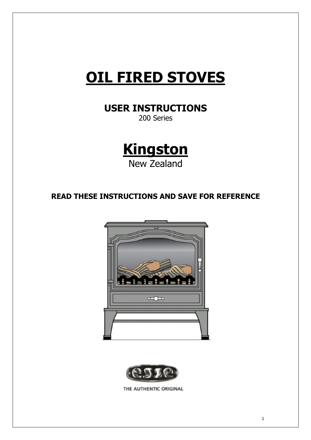# **OIL FIRED STOVES**

**USER INSTRUCTIONS** 

200 Series



**READ THESE INSTRUCTIONS AND SAVE FOR REFERENCE** 





THE AUTHENTIC ORIGINAL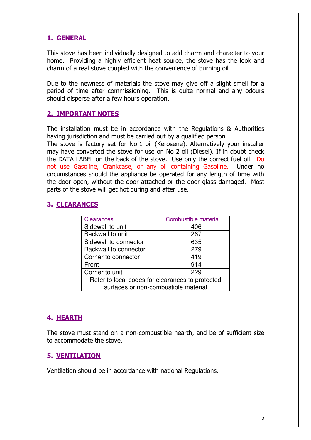# 1. GENERAL

This stove has been individually designed to add charm and character to your home. Providing a highly efficient heat source, the stove has the look and charm of a real stove coupled with the convenience of burning oil.

Due to the newness of materials the stove may give off a slight smell for a period of time after commissioning. This is quite normal and any odours should disperse after a few hours operation.

#### **2. IMPORTANT NOTES**

The installation must be in accordance with the Regulations & Authorities having jurisdiction and must be carried out by a qualified person.

The stove is factory set for No.1 oil (Kerosene). Alternatively your installer may have converted the stove for use on No 2 oil (Diesel). If in doubt check the DATA LABEL on the back of the stove. Use only the correct fuel oil. Do not use Gasoline, Crankcase, or any oil containing Gasoline. Under no circumstances should the appliance be operated for any length of time with the door open, without the door attached or the door glass damaged. Most parts of the stove will get hot during and after use.

# **3. CLEARANCES**

| <b>Clearances</b>                                | <b>Combustible material</b> |
|--------------------------------------------------|-----------------------------|
| Sidewall to unit                                 | 406                         |
| Backwall to unit                                 | 267                         |
| Sidewall to connector                            | 635                         |
| Backwall to connector                            | 279                         |
| Corner to connector                              | 419                         |
| Front                                            | 914                         |
| Corner to unit                                   | 229                         |
| Refer to local codes for clearances to protected |                             |
| surfaces or non-combustible material             |                             |

# 4. HEARTH

The stove must stand on a non-combustible hearth, and be of sufficient size to accommodate the stove.

#### **5. VENTILATION**

Ventilation should be in accordance with national Regulations.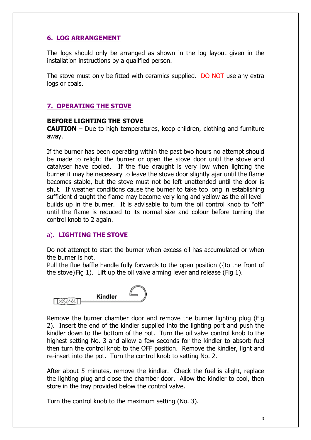# **6. LOG ARRANGEMENT**

The logs should only be arranged as shown in the log layout given in the installation instructions by a qualified person.

The stove must only be fitted with ceramics supplied. DO NOT use any extra logs or coals.

#### **7. OPERATING THE STOVE**

#### **BEFORE LIGHTING THE STOVE**

**CAUTION** – Due to high temperatures, keep children, clothing and furniture awav.

If the burner has been operating within the past two hours no attempt should be made to relight the burner or open the stove door until the stove and catalyser have cooled. If the flue draught is very low when lighting the burner it may be necessary to leave the stove door slightly aiar until the flame becomes stable, but the stove must not be left unattended until the door is shut. If weather conditions cause the burner to take too long in establishing sufficient draught the flame may become very long and yellow as the oil level builds up in the burner. It is advisable to turn the oil control knob to "off" until the flame is reduced to its normal size and colour before turning the control knob to 2 again.

#### a). LIGHTING THE STOVE

Do not attempt to start the burner when excess oil has accumulated or when the burner is hot.

Pull the flue baffle handle fully forwards to the open position ({to the front of the stove}Fig 1). Lift up the oil valve arming lever and release (Fig 1).



Remove the burner chamber door and remove the burner lighting plug (Fig. 2). Insert the end of the kindler supplied into the lighting port and push the kindler down to the bottom of the pot. Turn the oil valve control knob to the highest setting No. 3 and allow a few seconds for the kindler to absorb fuel then turn the control knob to the OFF position. Remove the kindler, light and re-insert into the pot. Turn the control knob to setting No. 2.

After about 5 minutes, remove the kindler. Check the fuel is alight, replace the lighting plug and close the chamber door. Allow the kindler to cool, then store in the tray provided below the control valve.

Turn the control knob to the maximum setting (No. 3).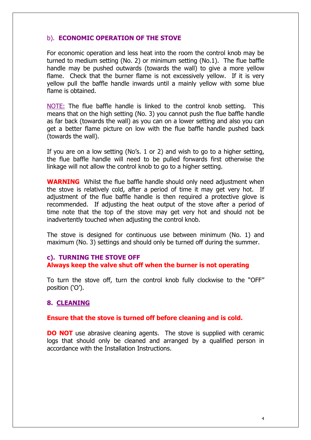#### b). ECONOMIC OPERATION OF THE STOVE

For economic operation and less heat into the room the control knob may be turned to medium setting (No. 2) or minimum setting (No.1). The flue baffle handle may be pushed outwards (towards the wall) to give a more yellow flame. Check that the burner flame is not excessively vellow. If it is very yellow pull the baffle handle inwards until a mainly yellow with some blue flame is obtained.

NOTE: The flue baffle handle is linked to the control knob setting. This means that on the high setting (No. 3) you cannot push the flue baffle handle as far back (towards the wall) as you can on a lower setting and also you can get a better flame picture on low with the flue baffle handle pushed back (towards the wall).

If you are on a low setting (No's, 1 or 2) and wish to go to a higher setting, the flue baffle handle will need to be pulled forwards first otherwise the linkage will not allow the control knob to go to a higher setting.

**WARNING** Whilst the flue baffle handle should only need adjustment when the stove is relatively cold, after a period of time it may get very hot. If adjustment of the flue baffle handle is then required a protective glove is recommended. If adjusting the heat output of the stove after a period of time note that the top of the stove may get very hot and should not be inadvertently touched when adjusting the control knob.

The stove is designed for continuous use between minimum (No. 1) and maximum (No. 3) settings and should only be turned off during the summer.

#### c). TURNING THE STOVE OFF Always keep the valve shut off when the burner is not operating

To turn the stove off, turn the control knob fully clockwise to the "OFF" position ('O').

#### 8. CLEANING

#### Ensure that the stove is turned off before cleaning and is cold.

**DO NOT** use abrasive cleaning agents. The stove is supplied with ceramic logs that should only be cleaned and arranged by a qualified person in accordance with the Installation Instructions.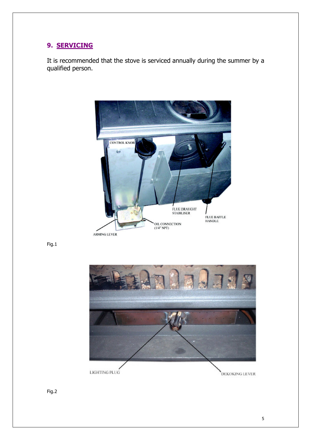# 9. SERVICING

It is recommended that the stove is serviced annually during the summer by a qualified person.



Fig.1



Fig.2